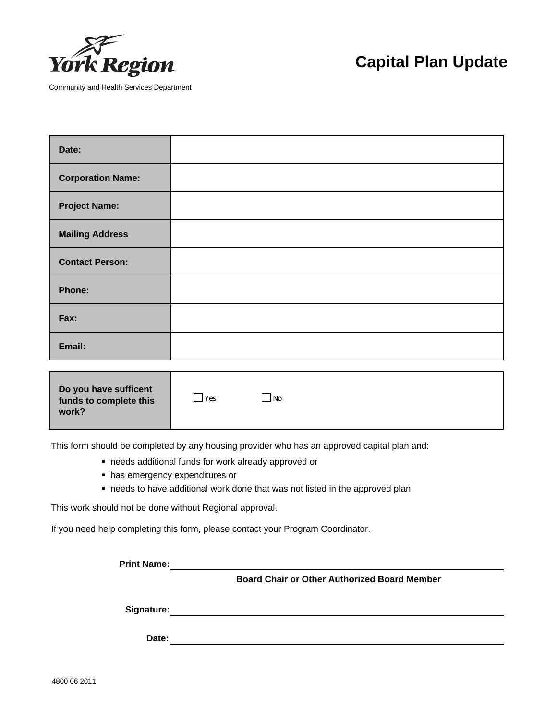

Community and Health Services Department

## **Capital Plan Update**

| Date:                    |  |
|--------------------------|--|
| <b>Corporation Name:</b> |  |
| <b>Project Name:</b>     |  |
| <b>Mailing Address</b>   |  |
| <b>Contact Person:</b>   |  |
| Phone:                   |  |
| Fax:                     |  |
| Email:                   |  |

| Do you have sufficent<br>Yes<br>No<br>funds to complete this<br>work? |  |
|-----------------------------------------------------------------------|--|
|-----------------------------------------------------------------------|--|

This form should be completed by any housing provider who has an approved capital plan and:

- needs additional funds for work already approved or
- has emergency expenditures or
- needs to have additional work done that was not listed in the approved plan

This work should not be done without Regional approval.

If you need help completing this form, please contact your Program Coordinator.

**Print Name:**

 **Board Chair or Other Authorized Board Member**

**Signature:**

**Date:**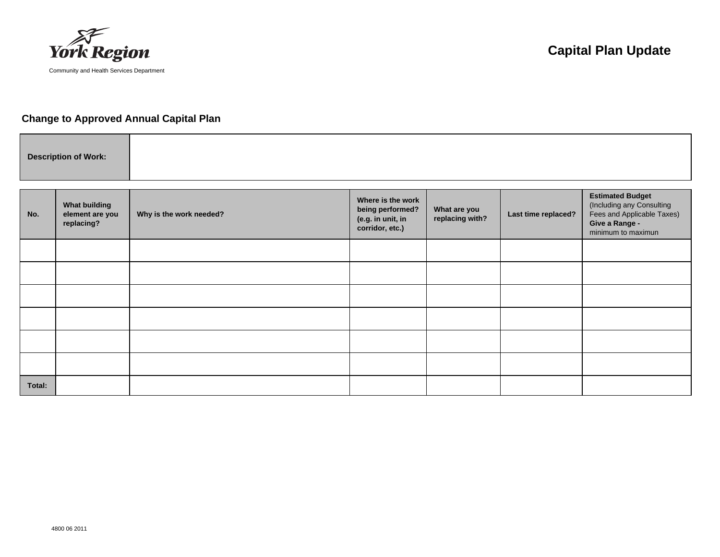

## **Change to Approved Annual Capital Plan**

|--|

| No.    | <b>What building</b><br>element are you<br>replacing? | Why is the work needed? | Where is the work<br>being performed?<br>(e.g. in unit, in<br>corridor, etc.) | What are you<br>replacing with? | Last time replaced? | <b>Estimated Budget</b><br>(Including any Consulting<br>Fees and Applicable Taxes)<br>Give a Range -<br>minimum to maximun |
|--------|-------------------------------------------------------|-------------------------|-------------------------------------------------------------------------------|---------------------------------|---------------------|----------------------------------------------------------------------------------------------------------------------------|
|        |                                                       |                         |                                                                               |                                 |                     |                                                                                                                            |
|        |                                                       |                         |                                                                               |                                 |                     |                                                                                                                            |
|        |                                                       |                         |                                                                               |                                 |                     |                                                                                                                            |
|        |                                                       |                         |                                                                               |                                 |                     |                                                                                                                            |
|        |                                                       |                         |                                                                               |                                 |                     |                                                                                                                            |
|        |                                                       |                         |                                                                               |                                 |                     |                                                                                                                            |
| Total: |                                                       |                         |                                                                               |                                 |                     |                                                                                                                            |